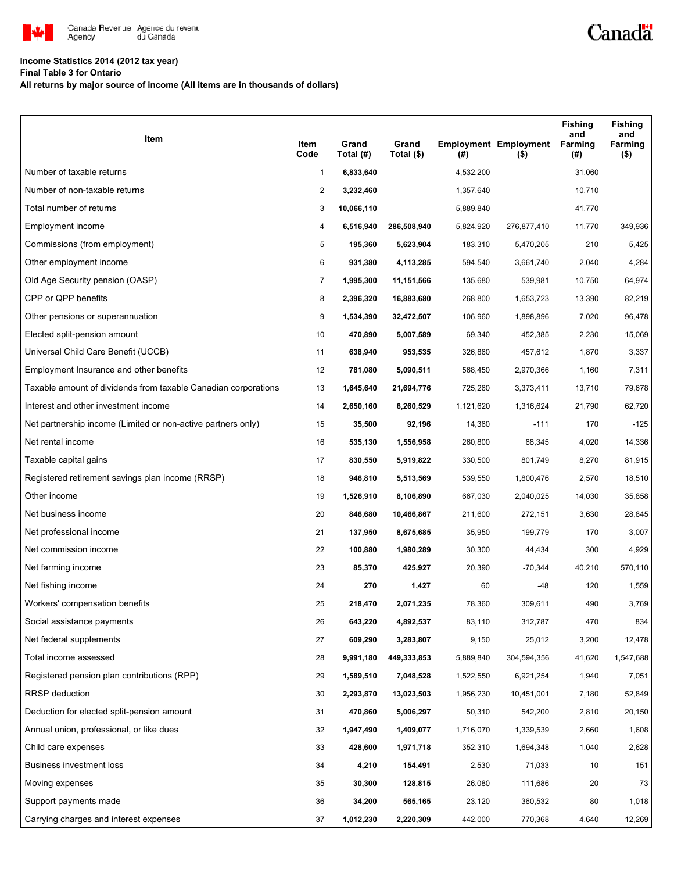

## **Income Statistics 2014 (2012 tax year)**

**Final Table 3 for Ontario**

**All returns by major source of income (All items are in thousands of dollars)**

| Item                                                           | Item<br>Code | Grand<br>Total (#) | Grand<br>Total (\$) | $($ #)    | <b>Employment Employment</b><br>$($ \$) | <b>Fishing</b><br>and<br>Farming<br>(#) | <b>Fishing</b><br>and<br>Farming<br>$($ \$) |
|----------------------------------------------------------------|--------------|--------------------|---------------------|-----------|-----------------------------------------|-----------------------------------------|---------------------------------------------|
| Number of taxable returns                                      | $\mathbf{1}$ | 6,833,640          |                     | 4,532,200 |                                         | 31,060                                  |                                             |
| Number of non-taxable returns                                  | 2            | 3,232,460          |                     | 1,357,640 |                                         | 10,710                                  |                                             |
| Total number of returns                                        | 3            | 10,066,110         |                     | 5,889,840 |                                         | 41,770                                  |                                             |
| Employment income                                              | 4            | 6,516,940          | 286,508,940         | 5,824,920 | 276,877,410                             | 11,770                                  | 349,936                                     |
| Commissions (from employment)                                  | 5            | 195,360            | 5,623,904           | 183,310   | 5,470,205                               | 210                                     | 5,425                                       |
| Other employment income                                        | 6            | 931,380            | 4,113,285           | 594,540   | 3,661,740                               | 2,040                                   | 4,284                                       |
| Old Age Security pension (OASP)                                | 7            | 1,995,300          | 11,151,566          | 135,680   | 539,981                                 | 10,750                                  | 64,974                                      |
| CPP or QPP benefits                                            | 8            | 2,396,320          | 16,883,680          | 268,800   | 1,653,723                               | 13,390                                  | 82,219                                      |
| Other pensions or superannuation                               | 9            | 1,534,390          | 32,472,507          | 106,960   | 1,898,896                               | 7,020                                   | 96,478                                      |
| Elected split-pension amount                                   | 10           | 470,890            | 5,007,589           | 69,340    | 452,385                                 | 2,230                                   | 15,069                                      |
| Universal Child Care Benefit (UCCB)                            | 11           | 638,940            | 953,535             | 326,860   | 457,612                                 | 1,870                                   | 3,337                                       |
| Employment Insurance and other benefits                        | 12           | 781,080            | 5,090,511           | 568,450   | 2,970,366                               | 1,160                                   | 7,311                                       |
| Taxable amount of dividends from taxable Canadian corporations | 13           | 1,645,640          | 21,694,776          | 725,260   | 3,373,411                               | 13,710                                  | 79,678                                      |
| Interest and other investment income                           | 14           | 2,650,160          | 6,260,529           | 1,121,620 | 1,316,624                               | 21,790                                  | 62,720                                      |
| Net partnership income (Limited or non-active partners only)   | 15           | 35,500             | 92,196              | 14,360    | $-111$                                  | 170                                     | $-125$                                      |
| Net rental income                                              | 16           | 535,130            | 1,556,958           | 260,800   | 68,345                                  | 4,020                                   | 14,336                                      |
| Taxable capital gains                                          | 17           | 830,550            | 5,919,822           | 330,500   | 801,749                                 | 8,270                                   | 81,915                                      |
| Registered retirement savings plan income (RRSP)               | 18           | 946,810            | 5,513,569           | 539,550   | 1,800,476                               | 2,570                                   | 18,510                                      |
| Other income                                                   | 19           | 1,526,910          | 8,106,890           | 667,030   | 2,040,025                               | 14,030                                  | 35,858                                      |
| Net business income                                            | 20           | 846,680            | 10,466,867          | 211,600   | 272,151                                 | 3,630                                   | 28,845                                      |
| Net professional income                                        | 21           | 137,950            | 8,675,685           | 35,950    | 199,779                                 | 170                                     | 3,007                                       |
| Net commission income                                          | 22           | 100,880            | 1,980,289           | 30,300    | 44,434                                  | 300                                     | 4,929                                       |
| Net farming income                                             | 23           | 85,370             | 425,927             | 20,390    | $-70,344$                               | 40,210                                  | 570,110                                     |
| Net fishing income                                             | 24           | 270                | 1,427               | 60        | -48                                     | 120                                     | 1,559                                       |
| Workers' compensation benefits                                 | 25           | 218,470            | 2,071,235           | 78,360    | 309,611                                 | 490                                     | 3,769                                       |
| Social assistance payments                                     | 26           | 643,220            | 4,892,537           | 83,110    | 312,787                                 | 470                                     | 834                                         |
| Net federal supplements                                        | 27           | 609,290            | 3,283,807           | 9,150     | 25,012                                  | 3,200                                   | 12,478                                      |
| Total income assessed                                          | 28           | 9,991,180          | 449,333,853         | 5,889,840 | 304,594,356                             | 41,620                                  | 1,547,688                                   |
| Registered pension plan contributions (RPP)                    | 29           | 1,589,510          | 7,048,528           | 1,522,550 | 6,921,254                               | 1,940                                   | 7,051                                       |
| RRSP deduction                                                 | 30           | 2,293,870          | 13,023,503          | 1,956,230 | 10,451,001                              | 7,180                                   | 52,849                                      |
| Deduction for elected split-pension amount                     | 31           | 470,860            | 5,006,297           | 50,310    | 542,200                                 | 2,810                                   | 20,150                                      |
| Annual union, professional, or like dues                       | 32           | 1,947,490          | 1,409,077           | 1,716,070 | 1,339,539                               | 2,660                                   | 1,608                                       |
| Child care expenses                                            | 33           | 428,600            | 1,971,718           | 352,310   | 1,694,348                               | 1,040                                   | 2,628                                       |
| Business investment loss                                       | 34           | 4,210              | 154,491             | 2,530     | 71,033                                  | 10                                      | 151                                         |
| Moving expenses                                                | 35           | 30,300             | 128,815             | 26,080    | 111,686                                 | 20                                      | 73                                          |
| Support payments made                                          | 36           | 34,200             | 565,165             | 23,120    | 360,532                                 | 80                                      | 1,018                                       |
| Carrying charges and interest expenses                         | 37           | 1,012,230          | 2,220,309           | 442,000   | 770,368                                 | 4,640                                   | 12,269                                      |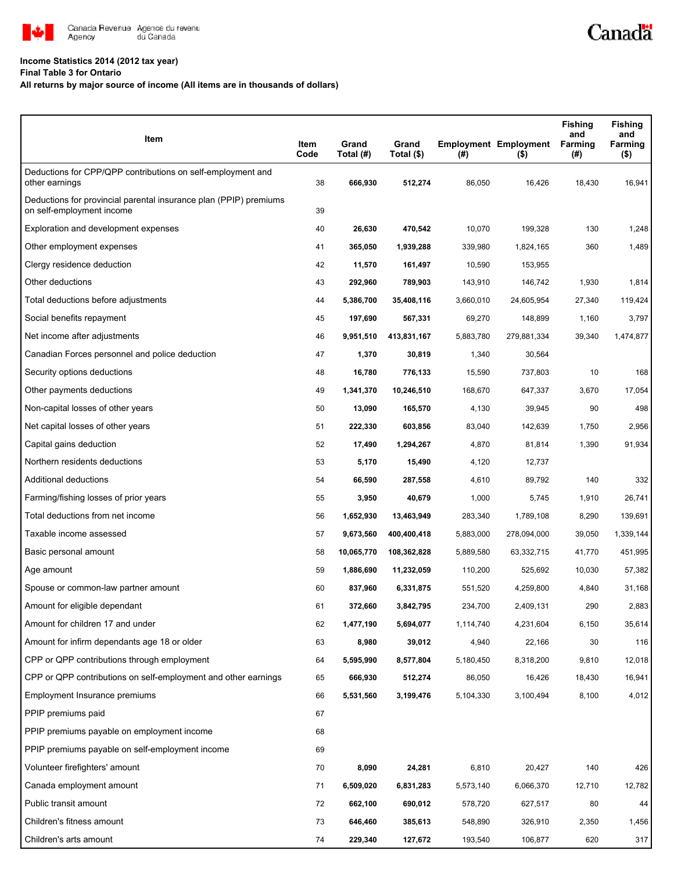

## **Income Statistics 2014 (2012 tax year)**

**Final Table 3 for Ontario**

## **All returns by major source of income (All items are in thousands of dollars)**

| Item                                                                                           | Item<br>Code | Grand<br>Total (#) | Grand<br>Total (\$) | (#)       | <b>Employment Employment</b><br>$($ \$) | <b>Fishing</b><br>and<br>Farming<br>(#) | <b>Fishing</b><br>and<br>Farming<br>$($ \$) |
|------------------------------------------------------------------------------------------------|--------------|--------------------|---------------------|-----------|-----------------------------------------|-----------------------------------------|---------------------------------------------|
| Deductions for CPP/QPP contributions on self-employment and<br>other earnings                  | 38           | 666,930            | 512,274             | 86,050    | 16,426                                  | 18,430                                  | 16,941                                      |
| Deductions for provincial parental insurance plan (PPIP) premiums<br>on self-employment income | 39           |                    |                     |           |                                         |                                         |                                             |
| Exploration and development expenses                                                           | 40           | 26,630             | 470,542             | 10,070    | 199,328                                 | 130                                     | 1,248                                       |
| Other employment expenses                                                                      | 41           | 365,050            | 1,939,288           | 339,980   | 1,824,165                               | 360                                     | 1,489                                       |
| Clergy residence deduction                                                                     | 42           | 11,570             | 161,497             | 10,590    | 153,955                                 |                                         |                                             |
| Other deductions                                                                               | 43           | 292,960            | 789,903             | 143,910   | 146,742                                 | 1,930                                   | 1,814                                       |
| Total deductions before adjustments                                                            | 44           | 5,386,700          | 35,408,116          | 3,660,010 | 24,605,954                              | 27,340                                  | 119,424                                     |
| Social benefits repayment                                                                      | 45           | 197,690            | 567,331             | 69,270    | 148,899                                 | 1,160                                   | 3,797                                       |
| Net income after adjustments                                                                   | 46           | 9,951,510          | 413,831,167         | 5,883,780 | 279,881,334                             | 39,340                                  | 1,474,877                                   |
| Canadian Forces personnel and police deduction                                                 | 47           | 1,370              | 30,819              | 1,340     | 30,564                                  |                                         |                                             |
| Security options deductions                                                                    | 48           | 16,780             | 776,133             | 15,590    | 737,803                                 | 10                                      | 168                                         |
| Other payments deductions                                                                      | 49           | 1,341,370          | 10,246,510          | 168,670   | 647,337                                 | 3,670                                   | 17,054                                      |
| Non-capital losses of other years                                                              | 50           | 13,090             | 165,570             | 4,130     | 39,945                                  | 90                                      | 498                                         |
| Net capital losses of other years                                                              | 51           | 222,330            | 603,856             | 83,040    | 142,639                                 | 1,750                                   | 2,956                                       |
| Capital gains deduction                                                                        | 52           | 17,490             | 1,294,267           | 4,870     | 81,814                                  | 1,390                                   | 91,934                                      |
| Northern residents deductions                                                                  | 53           | 5,170              | 15,490              | 4,120     | 12,737                                  |                                         |                                             |
| Additional deductions                                                                          | 54           | 66,590             | 287,558             | 4,610     | 89,792                                  | 140                                     | 332                                         |
| Farming/fishing losses of prior years                                                          | 55           | 3,950              | 40,679              | 1,000     | 5,745                                   | 1,910                                   | 26,741                                      |
| Total deductions from net income                                                               | 56           | 1,652,930          | 13,463,949          | 283,340   | 1,789,108                               | 8,290                                   | 139,691                                     |
| Taxable income assessed                                                                        | 57           | 9,673,560          | 400,400,418         | 5,883,000 | 278,094,000                             | 39,050                                  | 1,339,144                                   |
| Basic personal amount                                                                          | 58           | 10,065,770         | 108,362,828         | 5,889,580 | 63,332,715                              | 41,770                                  | 451,995                                     |
| Age amount                                                                                     | 59           | 1,886,690          | 11,232,059          | 110,200   | 525,692                                 | 10,030                                  | 57,382                                      |
| Spouse or common-law partner amount                                                            | 60           | 837,960            | 6,331,875           | 551,520   | 4,259,800                               | 4,840                                   | 31,168                                      |
| Amount for eligible dependant                                                                  | 61           | 372,660            | 3,842,795           | 234,700   | 2,409,131                               | 290                                     | 2,883                                       |
| Amount for children 17 and under                                                               | 62           | 1,477,190          | 5,694,077           | 1,114,740 | 4,231,604                               | 6,150                                   | 35,614                                      |
| Amount for infirm dependants age 18 or older                                                   | 63           | 8,980              | 39,012              | 4,940     | 22,166                                  | 30                                      | 116                                         |
| CPP or QPP contributions through employment                                                    | 64           | 5,595,990          | 8,577,804           | 5,180,450 | 8,318,200                               | 9,810                                   | 12,018                                      |
| CPP or QPP contributions on self-employment and other earnings                                 | 65           | 666,930            | 512,274             | 86,050    | 16,426                                  | 18,430                                  | 16,941                                      |
| Employment Insurance premiums                                                                  | 66           | 5,531,560          | 3,199,476           | 5,104,330 | 3,100,494                               | 8,100                                   | 4,012                                       |
| PPIP premiums paid                                                                             | 67           |                    |                     |           |                                         |                                         |                                             |
| PPIP premiums payable on employment income                                                     | 68           |                    |                     |           |                                         |                                         |                                             |
| PPIP premiums payable on self-employment income                                                | 69           |                    |                     |           |                                         |                                         |                                             |
| Volunteer firefighters' amount                                                                 | 70           | 8,090              | 24,281              | 6,810     | 20,427                                  | 140                                     | 426                                         |
| Canada employment amount                                                                       | 71           | 6,509,020          | 6,831,283           | 5,573,140 | 6,066,370                               | 12,710                                  | 12,782                                      |
| Public transit amount                                                                          | 72           | 662,100            | 690,012             | 578,720   | 627,517                                 | 80                                      | 44                                          |
| Children's fitness amount                                                                      | 73           | 646,460            | 385,613             | 548,890   | 326,910                                 | 2,350                                   | 1,456                                       |
| Children's arts amount                                                                         | 74           | 229,340            | 127,672             | 193,540   | 106,877                                 | 620                                     | 317                                         |

Canadä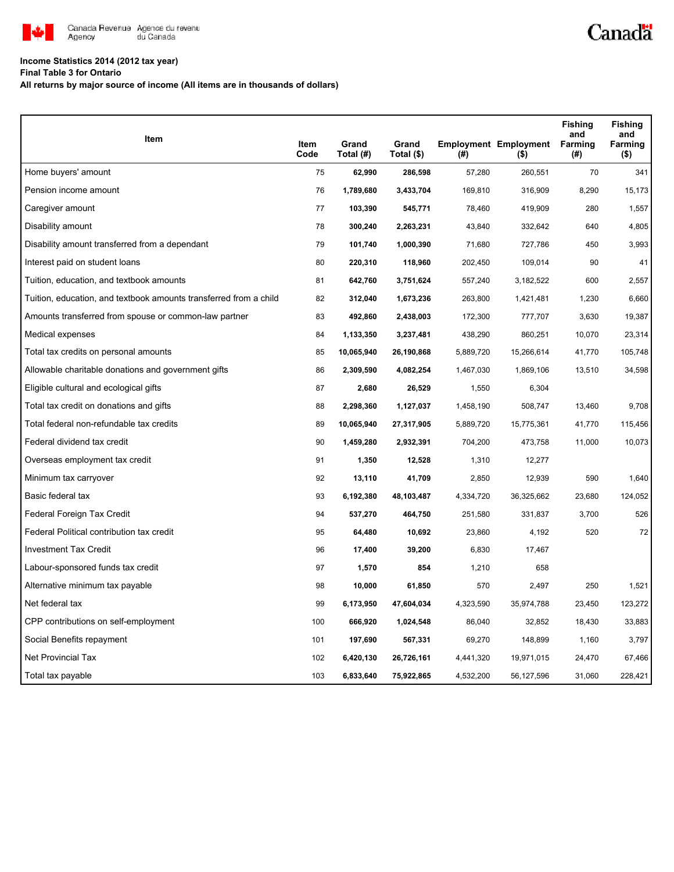

## **Income Statistics 2014 (2012 tax year)**

**Final Table 3 for Ontario**

**All returns by major source of income (All items are in thousands of dollars)**

| Item                                                              |              |                    |                     |           |                                         | <b>Fishing</b><br>and | <b>Fishing</b><br>and |
|-------------------------------------------------------------------|--------------|--------------------|---------------------|-----------|-----------------------------------------|-----------------------|-----------------------|
|                                                                   | Item<br>Code | Grand<br>Total (#) | Grand<br>Total (\$) | (#)       | <b>Employment Employment</b><br>$($ \$) | Farming<br>(#)        | Farming<br>$($ \$)    |
| Home buyers' amount                                               | 75           | 62,990             | 286,598             | 57,280    | 260,551                                 | 70                    | 341                   |
| Pension income amount                                             | 76           | 1,789,680          | 3,433,704           | 169,810   | 316,909                                 | 8,290                 | 15,173                |
| Caregiver amount                                                  | 77           | 103,390            | 545,771             | 78,460    | 419,909                                 | 280                   | 1,557                 |
| Disability amount                                                 | 78           | 300,240            | 2,263,231           | 43,840    | 332,642                                 | 640                   | 4,805                 |
| Disability amount transferred from a dependant                    | 79           | 101,740            | 1,000,390           | 71,680    | 727,786                                 | 450                   | 3,993                 |
| Interest paid on student loans                                    | 80           | 220,310            | 118,960             | 202,450   | 109,014                                 | 90                    | 41                    |
| Tuition, education, and textbook amounts                          | 81           | 642,760            | 3,751,624           | 557,240   | 3,182,522                               | 600                   | 2,557                 |
| Tuition, education, and textbook amounts transferred from a child | 82           | 312,040            | 1,673,236           | 263,800   | 1,421,481                               | 1,230                 | 6,660                 |
| Amounts transferred from spouse or common-law partner             | 83           | 492,860            | 2,438,003           | 172,300   | 777,707                                 | 3,630                 | 19,387                |
| Medical expenses                                                  | 84           | 1,133,350          | 3,237,481           | 438,290   | 860,251                                 | 10,070                | 23,314                |
| Total tax credits on personal amounts                             | 85           | 10,065,940         | 26,190,868          | 5,889,720 | 15,266,614                              | 41,770                | 105,748               |
| Allowable charitable donations and government gifts               | 86           | 2,309,590          | 4,082,254           | 1,467,030 | 1,869,106                               | 13,510                | 34,598                |
| Eligible cultural and ecological gifts                            | 87           | 2,680              | 26,529              | 1,550     | 6,304                                   |                       |                       |
| Total tax credit on donations and gifts                           | 88           | 2,298,360          | 1,127,037           | 1,458,190 | 508,747                                 | 13,460                | 9,708                 |
| Total federal non-refundable tax credits                          | 89           | 10,065,940         | 27,317,905          | 5,889,720 | 15,775,361                              | 41,770                | 115,456               |
| Federal dividend tax credit                                       | 90           | 1,459,280          | 2,932,391           | 704,200   | 473,758                                 | 11,000                | 10,073                |
| Overseas employment tax credit                                    | 91           | 1,350              | 12,528              | 1,310     | 12,277                                  |                       |                       |
| Minimum tax carryover                                             | 92           | 13,110             | 41,709              | 2,850     | 12,939                                  | 590                   | 1,640                 |
| Basic federal tax                                                 | 93           | 6,192,380          | 48,103,487          | 4,334,720 | 36,325,662                              | 23,680                | 124,052               |
| Federal Foreign Tax Credit                                        | 94           | 537,270            | 464,750             | 251,580   | 331,837                                 | 3,700                 | 526                   |
| Federal Political contribution tax credit                         | 95           | 64,480             | 10,692              | 23,860    | 4,192                                   | 520                   | 72                    |
| <b>Investment Tax Credit</b>                                      | 96           | 17,400             | 39,200              | 6,830     | 17,467                                  |                       |                       |
| Labour-sponsored funds tax credit                                 | 97           | 1,570              | 854                 | 1,210     | 658                                     |                       |                       |
| Alternative minimum tax payable                                   | 98           | 10,000             | 61,850              | 570       | 2,497                                   | 250                   | 1,521                 |
| Net federal tax                                                   | 99           | 6,173,950          | 47,604,034          | 4,323,590 | 35,974,788                              | 23,450                | 123,272               |
| CPP contributions on self-employment                              | 100          | 666,920            | 1,024,548           | 86,040    | 32,852                                  | 18,430                | 33,883                |
| Social Benefits repayment                                         | 101          | 197,690            | 567,331             | 69,270    | 148,899                                 | 1,160                 | 3,797                 |
| <b>Net Provincial Tax</b>                                         | 102          | 6,420,130          | 26,726,161          | 4,441,320 | 19,971,015                              | 24,470                | 67,466                |
| Total tax payable                                                 | 103          | 6,833,640          | 75,922,865          | 4,532,200 | 56,127,596                              | 31,060                | 228,421               |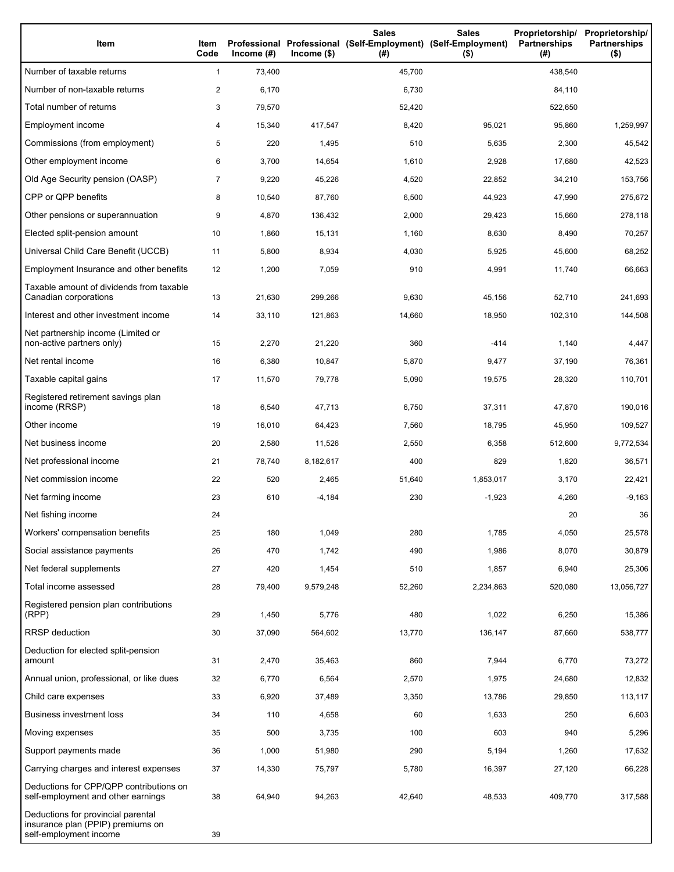| Item                                                                                              | Item<br>Code   | Income $(\#)$ | $Income$ (\$) | <b>Sales</b><br>Professional Professional (Self-Employment) (Self-Employment)<br>(#) | <b>Sales</b><br>$($ \$) | Proprietorship/<br><b>Partnerships</b><br>(#) | Proprietorship/<br><b>Partnerships</b><br>$($ \$) |
|---------------------------------------------------------------------------------------------------|----------------|---------------|---------------|--------------------------------------------------------------------------------------|-------------------------|-----------------------------------------------|---------------------------------------------------|
| Number of taxable returns                                                                         | $\mathbf{1}$   | 73,400        |               | 45,700                                                                               |                         | 438,540                                       |                                                   |
| Number of non-taxable returns                                                                     | $\overline{c}$ | 6,170         |               | 6,730                                                                                |                         | 84,110                                        |                                                   |
| Total number of returns                                                                           | 3              | 79,570        |               | 52,420                                                                               |                         | 522,650                                       |                                                   |
| Employment income                                                                                 | 4              | 15,340        | 417,547       | 8,420                                                                                | 95,021                  | 95,860                                        | 1,259,997                                         |
| Commissions (from employment)                                                                     | 5              | 220           | 1,495         | 510                                                                                  | 5,635                   | 2,300                                         | 45,542                                            |
| Other employment income                                                                           | 6              | 3,700         | 14,654        | 1,610                                                                                | 2,928                   | 17,680                                        | 42,523                                            |
| Old Age Security pension (OASP)                                                                   | $\overline{7}$ | 9,220         | 45,226        | 4,520                                                                                | 22,852                  | 34,210                                        | 153,756                                           |
| CPP or QPP benefits                                                                               | 8              | 10,540        | 87,760        | 6,500                                                                                | 44,923                  | 47,990                                        | 275,672                                           |
| Other pensions or superannuation                                                                  | 9              | 4,870         | 136,432       | 2,000                                                                                | 29,423                  | 15,660                                        | 278,118                                           |
| Elected split-pension amount                                                                      | 10             | 1,860         | 15,131        | 1,160                                                                                | 8,630                   | 8,490                                         | 70,257                                            |
| Universal Child Care Benefit (UCCB)                                                               | 11             | 5,800         | 8,934         | 4,030                                                                                | 5,925                   | 45,600                                        | 68,252                                            |
| Employment Insurance and other benefits                                                           | 12             | 1,200         | 7,059         | 910                                                                                  | 4,991                   | 11,740                                        | 66,663                                            |
| Taxable amount of dividends from taxable<br>Canadian corporations                                 | 13             | 21,630        | 299,266       | 9,630                                                                                | 45,156                  | 52,710                                        | 241,693                                           |
| Interest and other investment income                                                              | 14             | 33,110        | 121,863       | 14,660                                                                               | 18,950                  | 102,310                                       | 144,508                                           |
| Net partnership income (Limited or<br>non-active partners only)                                   | 15             | 2,270         | 21,220        | 360                                                                                  | $-414$                  | 1,140                                         | 4,447                                             |
| Net rental income                                                                                 | 16             | 6,380         | 10,847        | 5,870                                                                                | 9,477                   | 37,190                                        | 76,361                                            |
| Taxable capital gains                                                                             | 17             | 11,570        | 79,778        | 5,090                                                                                | 19,575                  | 28,320                                        | 110,701                                           |
| Registered retirement savings plan<br>income (RRSP)                                               | 18             | 6,540         | 47,713        | 6,750                                                                                | 37,311                  | 47,870                                        | 190,016                                           |
| Other income                                                                                      | 19             | 16,010        | 64,423        | 7,560                                                                                | 18,795                  | 45,950                                        | 109,527                                           |
| Net business income                                                                               | 20             | 2,580         | 11,526        | 2,550                                                                                | 6,358                   | 512,600                                       | 9,772,534                                         |
| Net professional income                                                                           | 21             | 78,740        | 8,182,617     | 400                                                                                  | 829                     | 1,820                                         | 36,571                                            |
| Net commission income                                                                             | 22             | 520           | 2,465         | 51,640                                                                               | 1,853,017               | 3,170                                         | 22,421                                            |
| Net farming income                                                                                | 23             | 610           | $-4,184$      | 230                                                                                  | $-1,923$                | 4,260                                         | $-9,163$                                          |
| Net fishing income                                                                                | 24             |               |               |                                                                                      |                         | 20                                            | 36                                                |
| Workers' compensation benefits                                                                    | 25             | 180           | 1,049         | 280                                                                                  | 1,785                   | 4,050                                         | 25,578                                            |
| Social assistance payments                                                                        | 26             | 470           | 1,742         | 490                                                                                  | 1,986                   | 8,070                                         | 30,879                                            |
| Net federal supplements                                                                           | 27             | 420           | 1,454         | 510                                                                                  | 1,857                   | 6,940                                         | 25,306                                            |
| Total income assessed                                                                             | 28             | 79,400        | 9,579,248     | 52,260                                                                               | 2,234,863               | 520,080                                       | 13,056,727                                        |
| Registered pension plan contributions<br>(RPP)                                                    | 29             | 1,450         | 5,776         | 480                                                                                  | 1,022                   | 6,250                                         | 15,386                                            |
| RRSP deduction                                                                                    | 30             | 37,090        | 564,602       | 13,770                                                                               | 136,147                 | 87,660                                        | 538,777                                           |
| Deduction for elected split-pension<br>amount                                                     | 31             | 2,470         | 35,463        | 860                                                                                  | 7,944                   | 6,770                                         | 73,272                                            |
| Annual union, professional, or like dues                                                          | 32             | 6,770         | 6,564         | 2,570                                                                                | 1,975                   | 24,680                                        | 12,832                                            |
| Child care expenses                                                                               | 33             | 6,920         | 37,489        | 3,350                                                                                | 13,786                  | 29,850                                        | 113,117                                           |
| <b>Business investment loss</b>                                                                   | 34             | 110           | 4,658         | 60                                                                                   | 1,633                   | 250                                           | 6,603                                             |
| Moving expenses                                                                                   | 35             | 500           | 3,735         | 100                                                                                  | 603                     | 940                                           | 5,296                                             |
| Support payments made                                                                             | 36             | 1,000         | 51,980        | 290                                                                                  | 5,194                   | 1,260                                         | 17,632                                            |
| Carrying charges and interest expenses                                                            | 37             | 14,330        | 75,797        | 5,780                                                                                | 16,397                  | 27,120                                        | 66,228                                            |
| Deductions for CPP/QPP contributions on<br>self-employment and other earnings                     | 38             | 64,940        | 94,263        | 42,640                                                                               | 48,533                  | 409,770                                       | 317,588                                           |
| Deductions for provincial parental<br>insurance plan (PPIP) premiums on<br>self-employment income | 39             |               |               |                                                                                      |                         |                                               |                                                   |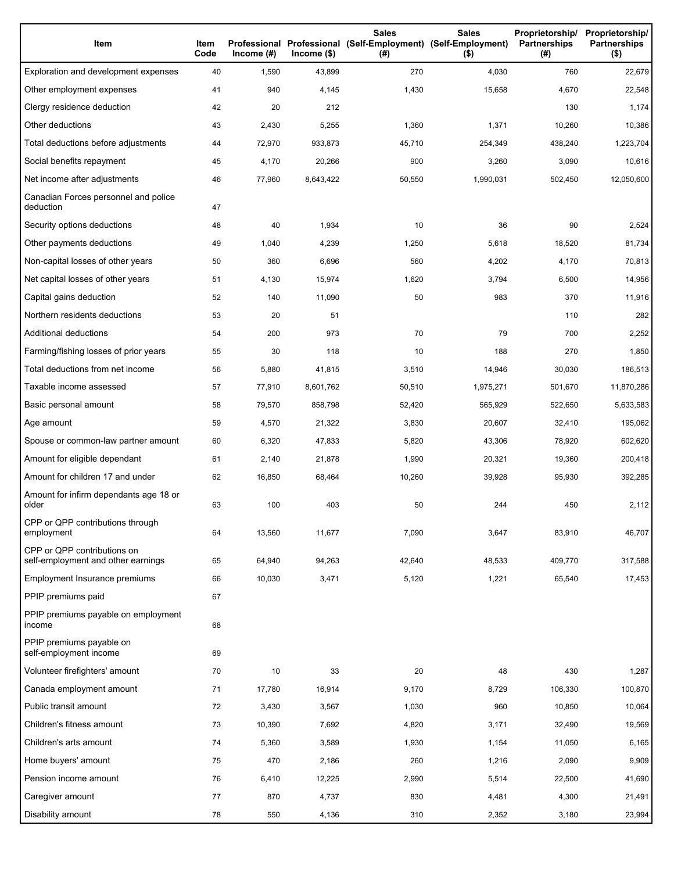| Item                                                              | Item<br>Code | Income $(\#)$ | $lncome$ (\$) | <b>Sales</b><br>Professional Professional (Self-Employment) (Self-Employment)<br>(#) | <b>Sales</b><br>$($ \$) | Proprietorship/<br>Partnerships<br>(#) | Proprietorship/<br><b>Partnerships</b><br>$($ \$) |
|-------------------------------------------------------------------|--------------|---------------|---------------|--------------------------------------------------------------------------------------|-------------------------|----------------------------------------|---------------------------------------------------|
| Exploration and development expenses                              | 40           | 1,590         | 43,899        | 270                                                                                  | 4,030                   | 760                                    | 22,679                                            |
| Other employment expenses                                         | 41           | 940           | 4,145         | 1,430                                                                                | 15,658                  | 4,670                                  | 22,548                                            |
| Clergy residence deduction                                        | 42           | 20            | 212           |                                                                                      |                         | 130                                    | 1,174                                             |
| Other deductions                                                  | 43           | 2,430         | 5,255         | 1,360                                                                                | 1,371                   | 10,260                                 | 10,386                                            |
| Total deductions before adjustments                               | 44           | 72,970        | 933,873       | 45,710                                                                               | 254,349                 | 438,240                                | 1,223,704                                         |
| Social benefits repayment                                         | 45           | 4,170         | 20,266        | 900                                                                                  | 3,260                   | 3,090                                  | 10,616                                            |
| Net income after adjustments                                      | 46           | 77,960        | 8,643,422     | 50,550                                                                               | 1,990,031               | 502,450                                | 12,050,600                                        |
| Canadian Forces personnel and police<br>deduction                 | 47           |               |               |                                                                                      |                         |                                        |                                                   |
| Security options deductions                                       | 48           | 40            | 1,934         | 10                                                                                   | 36                      | 90                                     | 2,524                                             |
| Other payments deductions                                         | 49           | 1,040         | 4,239         | 1,250                                                                                | 5,618                   | 18,520                                 | 81,734                                            |
| Non-capital losses of other years                                 | 50           | 360           | 6,696         | 560                                                                                  | 4,202                   | 4,170                                  | 70,813                                            |
| Net capital losses of other years                                 | 51           | 4,130         | 15,974        | 1,620                                                                                | 3,794                   | 6,500                                  | 14,956                                            |
| Capital gains deduction                                           | 52           | 140           | 11,090        | 50                                                                                   | 983                     | 370                                    | 11,916                                            |
| Northern residents deductions                                     | 53           | 20            | 51            |                                                                                      |                         | 110                                    | 282                                               |
| Additional deductions                                             | 54           | 200           | 973           | 70                                                                                   | 79                      | 700                                    | 2,252                                             |
| Farming/fishing losses of prior years                             | 55           | 30            | 118           | 10                                                                                   | 188                     | 270                                    | 1,850                                             |
| Total deductions from net income                                  | 56           | 5,880         | 41,815        | 3,510                                                                                | 14,946                  | 30,030                                 | 186,513                                           |
| Taxable income assessed                                           | 57           | 77,910        | 8,601,762     | 50,510                                                                               | 1,975,271               | 501,670                                | 11,870,286                                        |
| Basic personal amount                                             | 58           | 79,570        | 858,798       | 52,420                                                                               | 565,929                 | 522,650                                | 5,633,583                                         |
| Age amount                                                        | 59           | 4,570         | 21,322        | 3,830                                                                                | 20,607                  | 32,410                                 | 195,062                                           |
| Spouse or common-law partner amount                               | 60           | 6,320         | 47,833        | 5,820                                                                                | 43,306                  | 78,920                                 | 602,620                                           |
| Amount for eligible dependant                                     | 61           | 2,140         | 21,878        | 1,990                                                                                | 20,321                  | 19,360                                 | 200,418                                           |
| Amount for children 17 and under                                  | 62           | 16,850        | 68,464        | 10,260                                                                               | 39,928                  | 95,930                                 | 392,285                                           |
| Amount for infirm dependants age 18 or<br>older                   | 63           | 100           | 403           | 50                                                                                   | 244                     | 450                                    | 2,112                                             |
| CPP or QPP contributions through<br>employment                    | 64           | 13,560        | 11,677        | 7,090                                                                                | 3,647                   | 83,910                                 | 46,707                                            |
| CPP or QPP contributions on<br>self-employment and other earnings | 65           | 64,940        | 94,263        | 42,640                                                                               | 48,533                  | 409,770                                | 317,588                                           |
| Employment Insurance premiums                                     | 66           | 10,030        | 3,471         | 5,120                                                                                | 1,221                   | 65,540                                 | 17,453                                            |
| PPIP premiums paid                                                | 67           |               |               |                                                                                      |                         |                                        |                                                   |
| PPIP premiums payable on employment<br>income                     | 68           |               |               |                                                                                      |                         |                                        |                                                   |
| PPIP premiums payable on<br>self-employment income                | 69           |               |               |                                                                                      |                         |                                        |                                                   |
| Volunteer firefighters' amount                                    | 70           | 10            | 33            | 20                                                                                   | 48                      | 430                                    | 1,287                                             |
| Canada employment amount                                          | 71           | 17,780        | 16,914        | 9,170                                                                                | 8,729                   | 106,330                                | 100,870                                           |
| Public transit amount                                             | 72           | 3,430         | 3,567         | 1,030                                                                                | 960                     | 10,850                                 | 10,064                                            |
| Children's fitness amount                                         | 73           | 10,390        | 7,692         | 4,820                                                                                | 3,171                   | 32,490                                 | 19,569                                            |
| Children's arts amount                                            | 74           | 5,360         | 3,589         | 1,930                                                                                | 1,154                   | 11,050                                 | 6,165                                             |
| Home buyers' amount                                               | 75           | 470           | 2,186         | 260                                                                                  | 1,216                   | 2,090                                  | 9,909                                             |
| Pension income amount                                             | 76           | 6,410         | 12,225        | 2,990                                                                                | 5,514                   | 22,500                                 | 41,690                                            |
| Caregiver amount                                                  | 77           | 870           | 4,737         | 830                                                                                  | 4,481                   | 4,300                                  | 21,491                                            |
| Disability amount                                                 | 78           | 550           | 4,136         | 310                                                                                  | 2,352                   | 3,180                                  | 23,994                                            |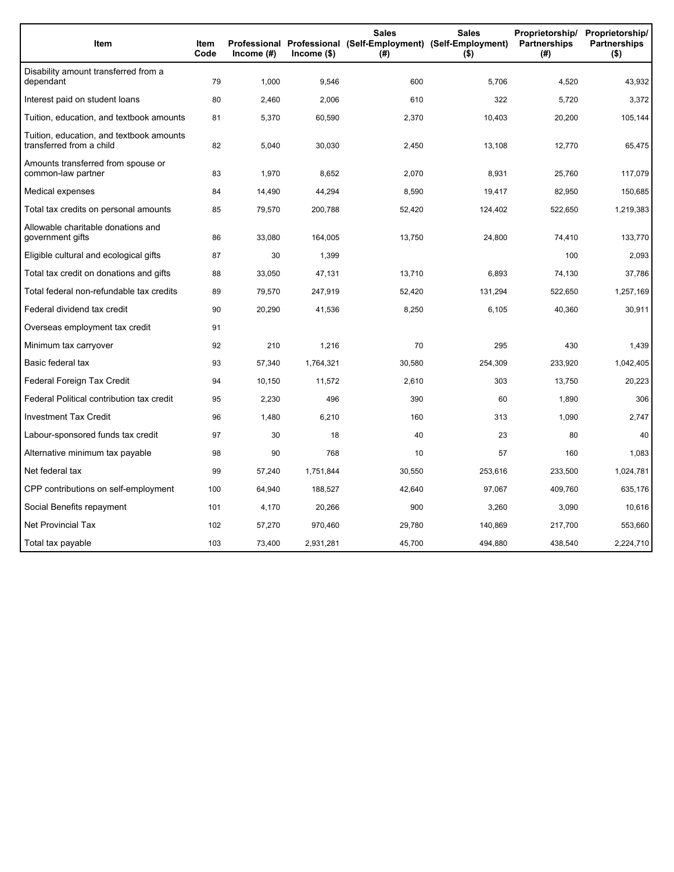| Item                                                                 | <b>Item</b><br>Code | Income $(#)$ | Income (\$) | <b>Sales</b><br><b>Sales</b><br>Professional Professional (Self-Employment) (Self-Employment)<br>(#)<br>$($ \$) |         | Proprietorship/<br><b>Partnerships</b><br>(#) | Proprietorship/<br><b>Partnerships</b><br>$($ \$) |
|----------------------------------------------------------------------|---------------------|--------------|-------------|-----------------------------------------------------------------------------------------------------------------|---------|-----------------------------------------------|---------------------------------------------------|
| Disability amount transferred from a<br>dependant                    | 79                  | 1,000        | 9,546       | 600                                                                                                             | 5,706   | 4,520                                         | 43,932                                            |
| Interest paid on student loans                                       | 80                  | 2,460        | 2,006       | 610                                                                                                             | 322     | 5,720                                         | 3,372                                             |
| Tuition, education, and textbook amounts                             | 81                  | 5,370        | 60,590      | 2,370                                                                                                           | 10,403  | 20,200                                        | 105,144                                           |
| Tuition, education, and textbook amounts<br>transferred from a child | 82                  | 5,040        | 30,030      | 2,450                                                                                                           | 13,108  | 12,770                                        | 65,475                                            |
| Amounts transferred from spouse or<br>common-law partner             | 83                  | 1,970        | 8,652       | 2,070                                                                                                           | 8,931   | 25,760                                        | 117,079                                           |
| Medical expenses                                                     | 84                  | 14,490       | 44,294      | 8,590                                                                                                           | 19,417  | 82,950                                        | 150,685                                           |
| Total tax credits on personal amounts                                | 85                  | 79,570       | 200,788     | 52,420                                                                                                          | 124,402 | 522,650                                       | 1,219,383                                         |
| Allowable charitable donations and<br>government gifts               | 86                  | 33,080       | 164,005     | 13,750                                                                                                          | 24,800  | 74,410                                        | 133,770                                           |
| Eligible cultural and ecological gifts                               | 87                  | 30           | 1,399       |                                                                                                                 |         | 100                                           | 2,093                                             |
| Total tax credit on donations and gifts                              | 88                  | 33,050       | 47,131      | 13,710                                                                                                          | 6,893   | 74,130                                        | 37,786                                            |
| Total federal non-refundable tax credits                             | 89                  | 79,570       | 247,919     | 52,420                                                                                                          | 131,294 | 522,650                                       | 1,257,169                                         |
| Federal dividend tax credit                                          | 90                  | 20,290       | 41,536      | 8,250                                                                                                           | 6,105   | 40,360                                        | 30,911                                            |
| Overseas employment tax credit                                       | 91                  |              |             |                                                                                                                 |         |                                               |                                                   |
| Minimum tax carryover                                                | 92                  | 210          | 1,216       | 70                                                                                                              | 295     | 430                                           | 1,439                                             |
| Basic federal tax                                                    | 93                  | 57,340       | 1,764,321   | 30,580                                                                                                          | 254,309 | 233,920                                       | 1,042,405                                         |
| Federal Foreign Tax Credit                                           | 94                  | 10,150       | 11,572      | 2,610                                                                                                           | 303     | 13,750                                        | 20,223                                            |
| Federal Political contribution tax credit                            | 95                  | 2,230        | 496         | 390                                                                                                             | 60      | 1,890                                         | 306                                               |
| <b>Investment Tax Credit</b>                                         | 96                  | 1,480        | 6,210       | 160                                                                                                             | 313     | 1,090                                         | 2,747                                             |
| Labour-sponsored funds tax credit                                    | 97                  | 30           | 18          | 40                                                                                                              | 23      | 80                                            | 40                                                |
| Alternative minimum tax payable                                      | 98                  | 90           | 768         | 10                                                                                                              | 57      | 160                                           | 1,083                                             |
| Net federal tax                                                      | 99                  | 57,240       | 1,751,844   | 30,550                                                                                                          | 253,616 | 233,500                                       | 1,024,781                                         |
| CPP contributions on self-employment                                 | 100                 | 64,940       | 188,527     | 42,640                                                                                                          | 97,067  | 409,760                                       | 635,176                                           |
| Social Benefits repayment                                            | 101                 | 4,170        | 20,266      | 900                                                                                                             | 3,260   | 3,090                                         | 10,616                                            |
| <b>Net Provincial Tax</b>                                            | 102                 | 57,270       | 970,460     | 29,780                                                                                                          | 140,869 | 217,700                                       | 553,660                                           |
| Total tax payable                                                    | 103                 | 73,400       | 2,931,281   | 45,700                                                                                                          | 494,880 | 438,540                                       | 2,224,710                                         |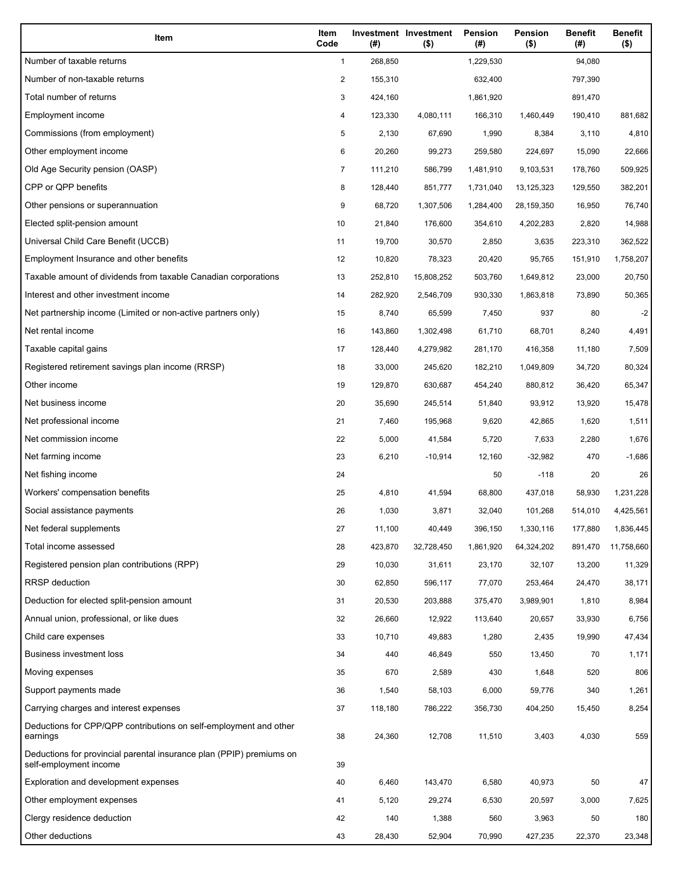| Item                                                                                           | Item<br>Code   | (#)     | Investment Investment<br>$($ \$) | Pension<br>(# ) | Pension<br>$($ \$) | <b>Benefit</b><br>(#) | <b>Benefit</b><br>$($ \$) |
|------------------------------------------------------------------------------------------------|----------------|---------|----------------------------------|-----------------|--------------------|-----------------------|---------------------------|
| Number of taxable returns                                                                      | $\mathbf{1}$   | 268,850 |                                  | 1,229,530       |                    | 94,080                |                           |
| Number of non-taxable returns                                                                  | $\overline{2}$ | 155,310 |                                  | 632,400         |                    | 797,390               |                           |
| Total number of returns                                                                        | 3              | 424,160 |                                  | 1,861,920       |                    | 891,470               |                           |
| Employment income                                                                              | 4              | 123,330 | 4,080,111                        | 166,310         | 1,460,449          | 190,410               | 881,682                   |
| Commissions (from employment)                                                                  | 5              | 2,130   | 67,690                           | 1,990           | 8,384              | 3,110                 | 4,810                     |
| Other employment income                                                                        | 6              | 20,260  | 99,273                           | 259,580         | 224,697            | 15,090                | 22,666                    |
| Old Age Security pension (OASP)                                                                | $\overline{7}$ | 111,210 | 586,799                          | 1,481,910       | 9,103,531          | 178,760               | 509,925                   |
| CPP or QPP benefits                                                                            | 8              | 128,440 | 851,777                          | 1,731,040       | 13,125,323         | 129,550               | 382,201                   |
| Other pensions or superannuation                                                               | 9              | 68,720  | 1,307,506                        | 1,284,400       | 28,159,350         | 16,950                | 76,740                    |
| Elected split-pension amount                                                                   | 10             | 21,840  | 176,600                          | 354,610         | 4,202,283          | 2,820                 | 14,988                    |
| Universal Child Care Benefit (UCCB)                                                            | 11             | 19,700  | 30,570                           | 2,850           | 3,635              | 223,310               | 362,522                   |
| Employment Insurance and other benefits                                                        | 12             | 10,820  | 78,323                           | 20,420          | 95,765             | 151,910               | 1,758,207                 |
| Taxable amount of dividends from taxable Canadian corporations                                 | 13             | 252,810 | 15,808,252                       | 503,760         | 1,649,812          | 23,000                | 20,750                    |
| Interest and other investment income                                                           | 14             | 282,920 | 2,546,709                        | 930,330         | 1,863,818          | 73,890                | 50,365                    |
| Net partnership income (Limited or non-active partners only)                                   | 15             | 8,740   | 65,599                           | 7,450           | 937                | 80                    | $-2$                      |
| Net rental income                                                                              | 16             | 143,860 | 1,302,498                        | 61,710          | 68,701             | 8,240                 | 4,491                     |
| Taxable capital gains                                                                          | 17             | 128,440 | 4,279,982                        | 281,170         | 416,358            | 11,180                | 7,509                     |
| Registered retirement savings plan income (RRSP)                                               | 18             | 33,000  | 245,620                          | 182,210         | 1,049,809          | 34,720                | 80,324                    |
| Other income                                                                                   | 19             | 129,870 | 630,687                          | 454,240         | 880,812            | 36,420                | 65,347                    |
| Net business income                                                                            | 20             | 35,690  | 245,514                          | 51,840          | 93,912             | 13,920                | 15,478                    |
| Net professional income                                                                        | 21             | 7,460   | 195,968                          | 9,620           | 42,865             | 1,620                 | 1,511                     |
| Net commission income                                                                          | 22             | 5,000   | 41,584                           | 5,720           | 7,633              | 2,280                 | 1,676                     |
| Net farming income                                                                             | 23             | 6,210   | $-10,914$                        | 12,160          | $-32,982$          | 470                   | $-1,686$                  |
| Net fishing income                                                                             | 24             |         |                                  | 50              | $-118$             | 20                    | 26                        |
| Workers' compensation benefits                                                                 | 25             | 4,810   | 41,594                           | 68,800          | 437,018            | 58,930                | 1,231,228                 |
| Social assistance payments                                                                     | 26             | 1,030   | 3,871                            | 32,040          | 101,268            | 514,010               | 4,425,561                 |
| Net federal supplements                                                                        | 27             | 11,100  | 40,449                           | 396,150         | 1,330,116          | 177,880               | 1,836,445                 |
| Total income assessed                                                                          | 28             | 423,870 | 32,728,450                       | 1,861,920       | 64,324,202         | 891,470               | 11,758,660                |
| Registered pension plan contributions (RPP)                                                    | 29             | 10,030  | 31,611                           | 23,170          | 32,107             | 13,200                | 11,329                    |
| <b>RRSP</b> deduction                                                                          | 30             | 62,850  | 596,117                          | 77,070          | 253,464            | 24,470                | 38,171                    |
| Deduction for elected split-pension amount                                                     | 31             | 20,530  | 203,888                          | 375,470         | 3,989,901          | 1,810                 | 8,984                     |
| Annual union, professional, or like dues                                                       | 32             | 26,660  | 12,922                           | 113,640         | 20,657             | 33,930                | 6,756                     |
| Child care expenses                                                                            | 33             | 10,710  | 49,883                           | 1,280           | 2,435              | 19,990                | 47,434                    |
| <b>Business investment loss</b>                                                                | 34             | 440     | 46,849                           | 550             | 13,450             | 70                    | 1,171                     |
| Moving expenses                                                                                | 35             | 670     | 2,589                            | 430             | 1,648              | 520                   | 806                       |
| Support payments made                                                                          | 36             | 1,540   | 58,103                           | 6,000           | 59,776             | 340                   | 1,261                     |
| Carrying charges and interest expenses                                                         | 37             | 118,180 | 786,222                          | 356,730         | 404,250            | 15,450                | 8,254                     |
| Deductions for CPP/QPP contributions on self-employment and other<br>earnings                  | 38             | 24,360  | 12,708                           | 11,510          | 3,403              | 4,030                 | 559                       |
| Deductions for provincial parental insurance plan (PPIP) premiums on<br>self-employment income | 39             |         |                                  |                 |                    |                       |                           |
| Exploration and development expenses                                                           | 40             | 6,460   | 143,470                          | 6,580           | 40,973             | 50                    | 47                        |
| Other employment expenses                                                                      | 41             | 5,120   | 29,274                           | 6,530           | 20,597             | 3,000                 | 7,625                     |
| Clergy residence deduction                                                                     | 42             | 140     | 1,388                            | 560             | 3,963              | 50                    | 180                       |
| Other deductions                                                                               | 43             | 28,430  | 52,904                           | 70,990          | 427,235            | 22,370                | 23,348                    |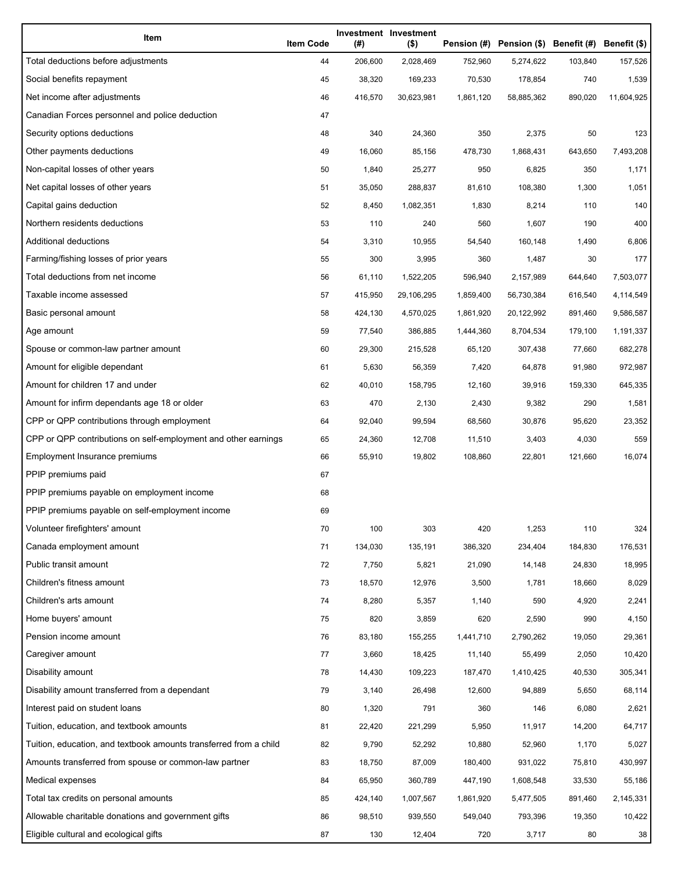| Item                                                              | <b>Item Code</b> | (#)     | Investment Investment<br>$($ \$) | Pension (#) | Pension (\$) Benefit (#) Benefit (\$) |         |            |
|-------------------------------------------------------------------|------------------|---------|----------------------------------|-------------|---------------------------------------|---------|------------|
| Total deductions before adjustments                               | 44               | 206,600 | 2,028,469                        | 752,960     | 5,274,622                             | 103,840 | 157,526    |
| Social benefits repayment                                         | 45               | 38,320  | 169,233                          | 70,530      | 178,854                               | 740     | 1,539      |
| Net income after adjustments                                      | 46               | 416,570 | 30,623,981                       | 1,861,120   | 58,885,362                            | 890,020 | 11,604,925 |
| Canadian Forces personnel and police deduction                    | 47               |         |                                  |             |                                       |         |            |
| Security options deductions                                       | 48               | 340     | 24,360                           | 350         | 2,375                                 | 50      | 123        |
| Other payments deductions                                         | 49               | 16,060  | 85,156                           | 478,730     | 1,868,431                             | 643,650 | 7,493,208  |
| Non-capital losses of other years                                 | 50               | 1,840   | 25,277                           | 950         | 6,825                                 | 350     | 1,171      |
| Net capital losses of other years                                 | 51               | 35,050  | 288,837                          | 81,610      | 108,380                               | 1,300   | 1,051      |
| Capital gains deduction                                           | 52               | 8,450   | 1,082,351                        | 1,830       | 8,214                                 | 110     | 140        |
| Northern residents deductions                                     | 53               | 110     | 240                              | 560         | 1,607                                 | 190     | 400        |
| Additional deductions                                             | 54               | 3,310   | 10,955                           | 54,540      | 160,148                               | 1,490   | 6,806      |
| Farming/fishing losses of prior years                             | 55               | 300     | 3,995                            | 360         | 1,487                                 | 30      | 177        |
| Total deductions from net income                                  | 56               | 61,110  | 1,522,205                        | 596,940     | 2,157,989                             | 644,640 | 7,503,077  |
| Taxable income assessed                                           | 57               | 415,950 | 29,106,295                       | 1,859,400   | 56,730,384                            | 616,540 | 4,114,549  |
| Basic personal amount                                             | 58               | 424,130 | 4,570,025                        | 1,861,920   | 20,122,992                            | 891,460 | 9,586,587  |
| Age amount                                                        | 59               | 77,540  | 386,885                          | 1,444,360   | 8,704,534                             | 179,100 | 1,191,337  |
| Spouse or common-law partner amount                               | 60               | 29,300  | 215,528                          | 65,120      | 307,438                               | 77,660  | 682,278    |
| Amount for eligible dependant                                     | 61               | 5,630   | 56,359                           | 7,420       | 64,878                                | 91,980  | 972,987    |
| Amount for children 17 and under                                  | 62               | 40,010  | 158,795                          | 12,160      | 39,916                                | 159,330 | 645,335    |
| Amount for infirm dependants age 18 or older                      | 63               | 470     | 2,130                            | 2,430       | 9,382                                 | 290     | 1,581      |
| CPP or QPP contributions through employment                       | 64               | 92,040  | 99,594                           | 68,560      | 30,876                                | 95,620  | 23,352     |
| CPP or QPP contributions on self-employment and other earnings    | 65               | 24,360  | 12,708                           | 11,510      | 3,403                                 | 4,030   | 559        |
| Employment Insurance premiums                                     | 66               | 55,910  | 19,802                           | 108,860     | 22,801                                | 121,660 | 16,074     |
| PPIP premiums paid                                                | 67               |         |                                  |             |                                       |         |            |
| PPIP premiums payable on employment income                        | 68               |         |                                  |             |                                       |         |            |
| PPIP premiums payable on self-employment income                   | 69               |         |                                  |             |                                       |         |            |
| Volunteer firefighters' amount                                    | 70               | 100     | 303                              | 420         | 1,253                                 | 110     | 324        |
| Canada employment amount                                          | 71               | 134,030 | 135,191                          | 386,320     | 234,404                               | 184,830 | 176,531    |
| Public transit amount                                             | 72               | 7,750   | 5,821                            | 21,090      | 14,148                                | 24,830  | 18,995     |
| Children's fitness amount                                         | 73               | 18,570  | 12,976                           | 3,500       | 1,781                                 | 18,660  | 8,029      |
| Children's arts amount                                            | 74               | 8,280   | 5,357                            | 1,140       | 590                                   | 4,920   | 2,241      |
| Home buyers' amount                                               | 75               | 820     | 3,859                            | 620         | 2,590                                 | 990     | 4,150      |
| Pension income amount                                             | 76               | 83,180  | 155,255                          | 1,441,710   | 2,790,262                             | 19,050  | 29,361     |
| Caregiver amount                                                  | 77               | 3,660   | 18,425                           | 11,140      | 55,499                                | 2,050   | 10,420     |
| Disability amount                                                 | 78               | 14,430  | 109,223                          | 187,470     | 1,410,425                             | 40,530  | 305,341    |
| Disability amount transferred from a dependant                    | 79               | 3,140   | 26,498                           | 12,600      | 94,889                                | 5,650   | 68,114     |
| Interest paid on student loans                                    | 80               | 1,320   | 791                              | 360         | 146                                   | 6,080   | 2,621      |
| Tuition, education, and textbook amounts                          | 81               | 22,420  | 221,299                          | 5,950       | 11,917                                | 14,200  | 64,717     |
| Tuition, education, and textbook amounts transferred from a child | 82               | 9,790   | 52,292                           | 10,880      | 52,960                                | 1,170   | 5,027      |
| Amounts transferred from spouse or common-law partner             | 83               | 18,750  | 87,009                           | 180,400     | 931,022                               | 75,810  | 430,997    |
| Medical expenses                                                  | 84               | 65,950  | 360,789                          | 447,190     | 1,608,548                             | 33,530  | 55,186     |
| Total tax credits on personal amounts                             | 85               | 424,140 | 1,007,567                        | 1,861,920   | 5,477,505                             | 891,460 | 2,145,331  |
| Allowable charitable donations and government gifts               | 86               | 98,510  | 939,550                          | 549,040     | 793,396                               | 19,350  | 10,422     |
| Eligible cultural and ecological gifts                            | 87               | 130     | 12,404                           | 720         | 3,717                                 | 80      | 38         |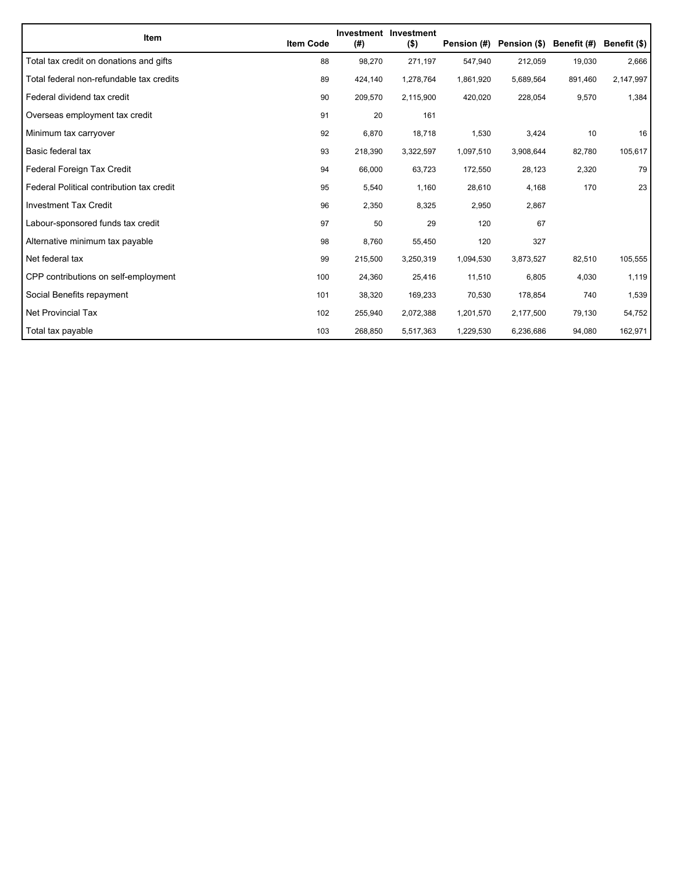| <b>Item</b>                               | <b>Item Code</b> | (#)     | Investment Investment<br>$($ \$) | Pension (#) | Pension (\$) Benefit (#) |         | Benefit (\$) |
|-------------------------------------------|------------------|---------|----------------------------------|-------------|--------------------------|---------|--------------|
| Total tax credit on donations and gifts   | 88               | 98,270  | 271,197                          | 547,940     | 212,059                  | 19,030  | 2,666        |
| Total federal non-refundable tax credits  | 89               | 424,140 | 1,278,764                        | 1,861,920   | 5,689,564                | 891,460 | 2,147,997    |
| Federal dividend tax credit               | 90               | 209,570 | 2,115,900                        | 420,020     | 228,054                  | 9,570   | 1,384        |
| Overseas employment tax credit            | 91               | 20      | 161                              |             |                          |         |              |
| Minimum tax carryover                     | 92               | 6,870   | 18,718                           | 1,530       | 3,424                    | 10      | 16           |
| Basic federal tax                         | 93               | 218,390 | 3,322,597                        | 1,097,510   | 3,908,644                | 82,780  | 105,617      |
| Federal Foreign Tax Credit                | 94               | 66,000  | 63,723                           | 172,550     | 28,123                   | 2,320   | 79           |
| Federal Political contribution tax credit | 95               | 5,540   | 1,160                            | 28,610      | 4,168                    | 170     | 23           |
| <b>Investment Tax Credit</b>              | 96               | 2,350   | 8,325                            | 2,950       | 2,867                    |         |              |
| Labour-sponsored funds tax credit         | 97               | 50      | 29                               | 120         | 67                       |         |              |
| Alternative minimum tax payable           | 98               | 8,760   | 55,450                           | 120         | 327                      |         |              |
| Net federal tax                           | 99               | 215,500 | 3,250,319                        | 1,094,530   | 3,873,527                | 82,510  | 105,555      |
| CPP contributions on self-employment      | 100              | 24,360  | 25,416                           | 11,510      | 6,805                    | 4,030   | 1,119        |
| Social Benefits repayment                 | 101              | 38,320  | 169,233                          | 70,530      | 178,854                  | 740     | 1,539        |
| <b>Net Provincial Tax</b>                 | 102              | 255,940 | 2,072,388                        | 1,201,570   | 2,177,500                | 79,130  | 54,752       |
| Total tax payable                         | 103              | 268,850 | 5,517,363                        | 1,229,530   | 6,236,686                | 94,080  | 162,971      |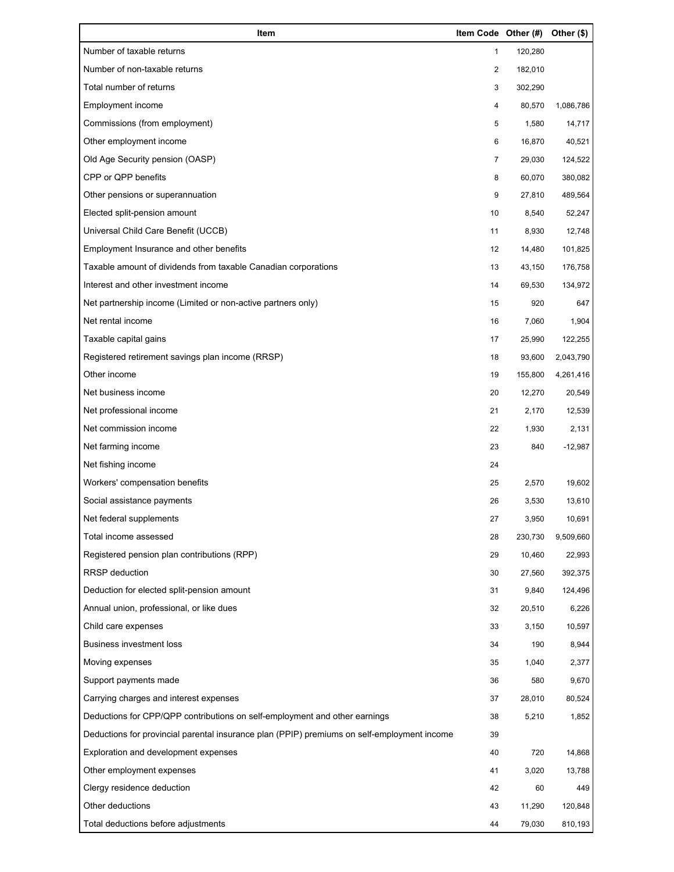| Item                                                                                        | Item Code Other (#) |         | Other (\$) |
|---------------------------------------------------------------------------------------------|---------------------|---------|------------|
| Number of taxable returns                                                                   | 1                   | 120,280 |            |
| Number of non-taxable returns                                                               | 2                   | 182,010 |            |
| Total number of returns                                                                     | 3                   | 302,290 |            |
| Employment income                                                                           | 4                   | 80,570  | 1,086,786  |
| Commissions (from employment)                                                               | 5                   | 1,580   | 14,717     |
| Other employment income                                                                     | 6                   | 16,870  | 40,521     |
| Old Age Security pension (OASP)                                                             | 7                   | 29,030  | 124,522    |
| CPP or QPP benefits                                                                         | 8                   | 60,070  | 380,082    |
| Other pensions or superannuation                                                            | 9                   | 27,810  | 489,564    |
| Elected split-pension amount                                                                | 10                  | 8,540   | 52,247     |
| Universal Child Care Benefit (UCCB)                                                         | 11                  | 8,930   | 12,748     |
| Employment Insurance and other benefits                                                     | 12                  | 14,480  | 101,825    |
| Taxable amount of dividends from taxable Canadian corporations                              | 13                  | 43,150  | 176,758    |
| Interest and other investment income                                                        | 14                  | 69,530  | 134,972    |
| Net partnership income (Limited or non-active partners only)                                | 15                  | 920     | 647        |
| Net rental income                                                                           | 16                  | 7,060   | 1,904      |
| Taxable capital gains                                                                       | 17                  | 25,990  | 122,255    |
| Registered retirement savings plan income (RRSP)                                            | 18                  | 93,600  | 2,043,790  |
| Other income                                                                                | 19                  | 155,800 | 4,261,416  |
| Net business income                                                                         | 20                  | 12,270  | 20,549     |
| Net professional income                                                                     | 21                  | 2,170   | 12,539     |
| Net commission income                                                                       | 22                  | 1,930   | 2,131      |
| Net farming income                                                                          | 23                  | 840     | $-12,987$  |
| Net fishing income                                                                          | 24                  |         |            |
| Workers' compensation benefits                                                              | 25                  | 2,570   | 19,602     |
| Social assistance payments                                                                  | 26                  | 3,530   | 13,610     |
| Net federal supplements                                                                     | 27                  | 3,950   | 10,691     |
| Total income assessed                                                                       | 28                  | 230,730 | 9,509,660  |
| Registered pension plan contributions (RPP)                                                 | 29                  | 10,460  | 22,993     |
| <b>RRSP</b> deduction                                                                       | 30                  | 27,560  | 392,375    |
| Deduction for elected split-pension amount                                                  | 31                  | 9,840   | 124,496    |
| Annual union, professional, or like dues                                                    | 32                  | 20,510  | 6,226      |
| Child care expenses                                                                         | 33                  | 3,150   | 10,597     |
| <b>Business investment loss</b>                                                             | 34                  | 190     | 8,944      |
| Moving expenses                                                                             | 35                  | 1,040   | 2,377      |
| Support payments made                                                                       | 36                  | 580     | 9,670      |
| Carrying charges and interest expenses                                                      | 37                  | 28,010  | 80,524     |
| Deductions for CPP/QPP contributions on self-employment and other earnings                  | 38                  | 5,210   | 1,852      |
| Deductions for provincial parental insurance plan (PPIP) premiums on self-employment income | 39                  |         |            |
| Exploration and development expenses                                                        | 40                  | 720     | 14,868     |
| Other employment expenses                                                                   | 41                  | 3,020   | 13,788     |
| Clergy residence deduction                                                                  | 42                  | 60      | 449        |
| Other deductions                                                                            | 43                  | 11,290  | 120,848    |
| Total deductions before adjustments                                                         | 44                  | 79,030  | 810,193    |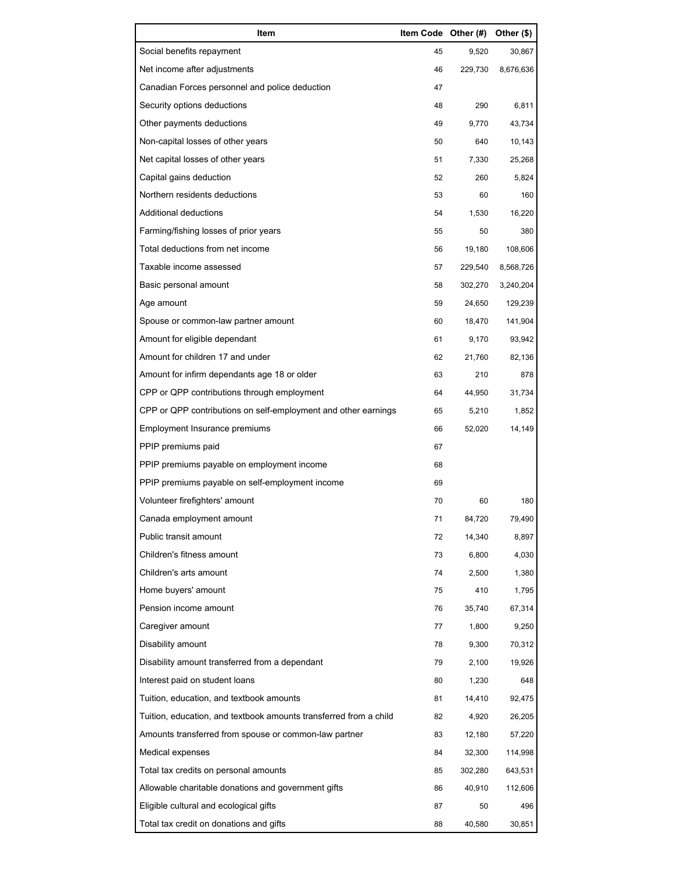| Item                                                              | Item Code Other (#) |         | Other (\$) |
|-------------------------------------------------------------------|---------------------|---------|------------|
| Social benefits repayment                                         | 45                  | 9,520   | 30,867     |
| Net income after adjustments                                      | 46                  | 229,730 | 8,676,636  |
| Canadian Forces personnel and police deduction                    | 47                  |         |            |
| Security options deductions                                       | 48                  | 290     | 6,811      |
| Other payments deductions                                         | 49                  | 9,770   | 43,734     |
| Non-capital losses of other years                                 | 50                  | 640     | 10,143     |
| Net capital losses of other years                                 | 51                  | 7,330   | 25,268     |
| Capital gains deduction                                           | 52                  | 260     | 5,824      |
| Northern residents deductions                                     | 53                  | 60      | 160        |
| Additional deductions                                             | 54                  | 1,530   | 16,220     |
| Farming/fishing losses of prior years                             | 55                  | 50      | 380        |
| Total deductions from net income                                  | 56                  | 19,180  | 108,606    |
| Taxable income assessed                                           | 57                  | 229,540 | 8,568,726  |
| Basic personal amount                                             | 58                  | 302,270 | 3,240,204  |
| Age amount                                                        | 59                  | 24,650  | 129,239    |
| Spouse or common-law partner amount                               | 60                  | 18,470  | 141,904    |
| Amount for eligible dependant                                     | 61                  | 9,170   | 93,942     |
| Amount for children 17 and under                                  | 62                  | 21,760  | 82,136     |
| Amount for infirm dependants age 18 or older                      | 63                  | 210     | 878        |
| CPP or QPP contributions through employment                       | 64                  | 44,950  | 31,734     |
| CPP or QPP contributions on self-employment and other earnings    | 65                  | 5,210   | 1,852      |
| Employment Insurance premiums                                     | 66                  | 52,020  | 14,149     |
| PPIP premiums paid                                                | 67                  |         |            |
| PPIP premiums payable on employment income                        | 68                  |         |            |
| PPIP premiums payable on self-employment income                   | 69                  |         |            |
| Volunteer firefighters' amount                                    | 70                  | 60      | 180        |
| Canada employment amount                                          | 71                  | 84,720  | 79,490     |
| Public transit amount                                             | 72                  | 14,340  | 8,897      |
| Children's fitness amount                                         | 73                  | 6,800   | 4,030      |
| Children's arts amount                                            | 74                  | 2,500   | 1,380      |
| Home buyers' amount                                               | 75                  | 410     | 1,795      |
| Pension income amount                                             | 76                  | 35,740  | 67,314     |
| Caregiver amount                                                  | 77                  | 1,800   | 9,250      |
| Disability amount                                                 | 78                  | 9,300   | 70,312     |
| Disability amount transferred from a dependant                    | 79                  | 2,100   | 19,926     |
| Interest paid on student loans                                    | 80                  | 1,230   | 648        |
| Tuition, education, and textbook amounts                          | 81                  | 14,410  | 92,475     |
| Tuition, education, and textbook amounts transferred from a child | 82                  | 4,920   | 26,205     |
| Amounts transferred from spouse or common-law partner             | 83                  | 12,180  | 57,220     |
| Medical expenses                                                  | 84                  | 32,300  | 114,998    |
| Total tax credits on personal amounts                             | 85                  | 302,280 | 643,531    |
| Allowable charitable donations and government gifts               | 86                  | 40,910  | 112,606    |
| Eligible cultural and ecological gifts                            | 87                  | 50      | 496        |
| Total tax credit on donations and gifts                           | 88                  | 40,580  | 30,851     |